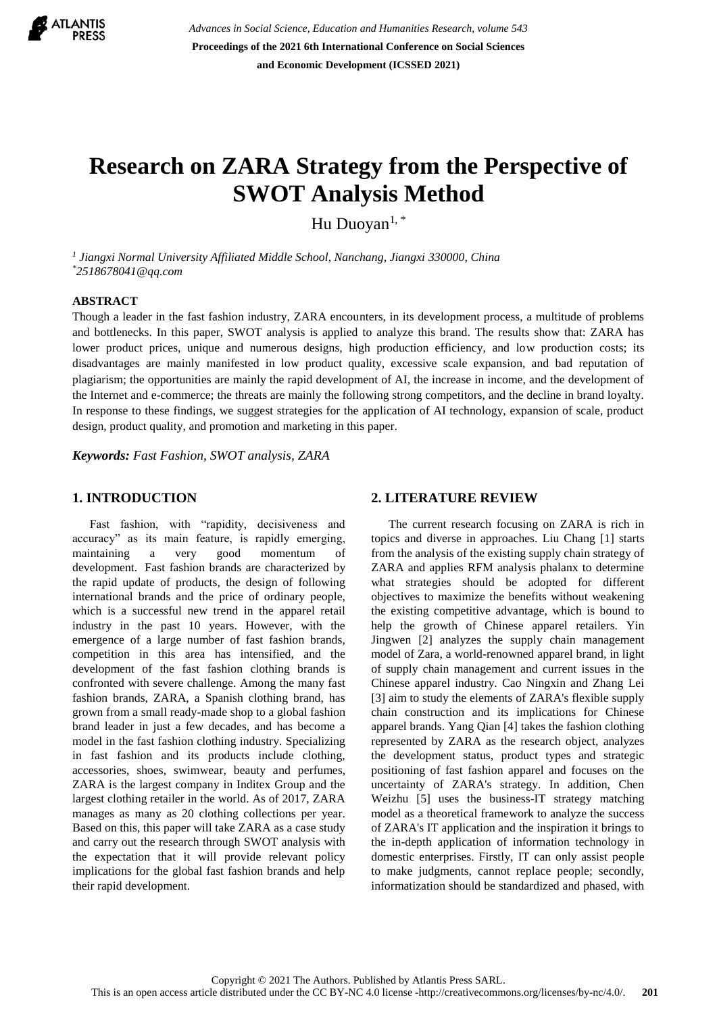

*Advances in Social Science, Education and Humanities Research, volume 543* **Proceedings of the 2021 6th International Conference on Social Sciences and Economic Development (ICSSED 2021)**

# **Research on ZARA Strategy from the Perspective of SWOT Analysis Method**

Hu Duoyan<sup>1,\*</sup>

*1 Jiangxi Normal University Affiliated Middle School, Nanchang, Jiangxi 330000, China \*2518678041@qq.com*

#### **ABSTRACT**

Though a leader in the fast fashion industry, ZARA encounters, in its development process, a multitude of problems and bottlenecks. In this paper, SWOT analysis is applied to analyze this brand. The results show that: ZARA has lower product prices, unique and numerous designs, high production efficiency, and low production costs; its disadvantages are mainly manifested in low product quality, excessive scale expansion, and bad reputation of plagiarism; the opportunities are mainly the rapid development of AI, the increase in income, and the development of the Internet and e-commerce; the threats are mainly the following strong competitors, and the decline in brand loyalty. In response to these findings, we suggest strategies for the application of AI technology, expansion of scale, product design, product quality, and promotion and marketing in this paper.

*Keywords: Fast Fashion, SWOT analysis, ZARA*

# **1. INTRODUCTION**

Fast fashion, with "rapidity, decisiveness and accuracy" as its main feature, is rapidly emerging, maintaining a very good momentum of development. Fast fashion brands are characterized by the rapid update of products, the design of following international brands and the price of ordinary people, which is a successful new trend in the apparel retail industry in the past 10 years. However, with the emergence of a large number of fast fashion brands, competition in this area has intensified, and the development of the fast fashion clothing brands is confronted with severe challenge. Among the many fast fashion brands, ZARA, a Spanish clothing brand, has grown from a small ready-made shop to a global fashion brand leader in just a few decades, and has become a model in the fast fashion clothing industry. Specializing in fast fashion and its products include clothing, accessories, shoes, swimwear, beauty and perfumes, ZARA is the largest company in Inditex Group and the largest clothing retailer in the world. As of 2017, ZARA manages as many as 20 clothing collections per year. Based on this, this paper will take ZARA as a case study and carry out the research through SWOT analysis with the expectation that it will provide relevant policy implications for the global fast fashion brands and help their rapid development.

# **2. LITERATURE REVIEW**

The current research focusing on ZARA is rich in topics and diverse in approaches. Liu Chang [1] starts from the analysis of the existing supply chain strategy of ZARA and applies RFM analysis phalanx to determine what strategies should be adopted for different objectives to maximize the benefits without weakening the existing competitive advantage, which is bound to help the growth of Chinese apparel retailers. Yin Jingwen [2] analyzes the supply chain management model of Zara, a world-renowned apparel brand, in light of supply chain management and current issues in the Chinese apparel industry. Cao Ningxin and Zhang Lei [3] aim to study the elements of ZARA's flexible supply chain construction and its implications for Chinese apparel brands. Yang Qian [4] takes the fashion clothing represented by ZARA as the research object, analyzes the development status, product types and strategic positioning of fast fashion apparel and focuses on the uncertainty of ZARA's strategy. In addition, Chen Weizhu [5] uses the business-IT strategy matching model as a theoretical framework to analyze the success of ZARA's IT application and the inspiration it brings to the in-depth application of information technology in domestic enterprises. Firstly, IT can only assist people to make judgments, cannot replace people; secondly, informatization should be standardized and phased, with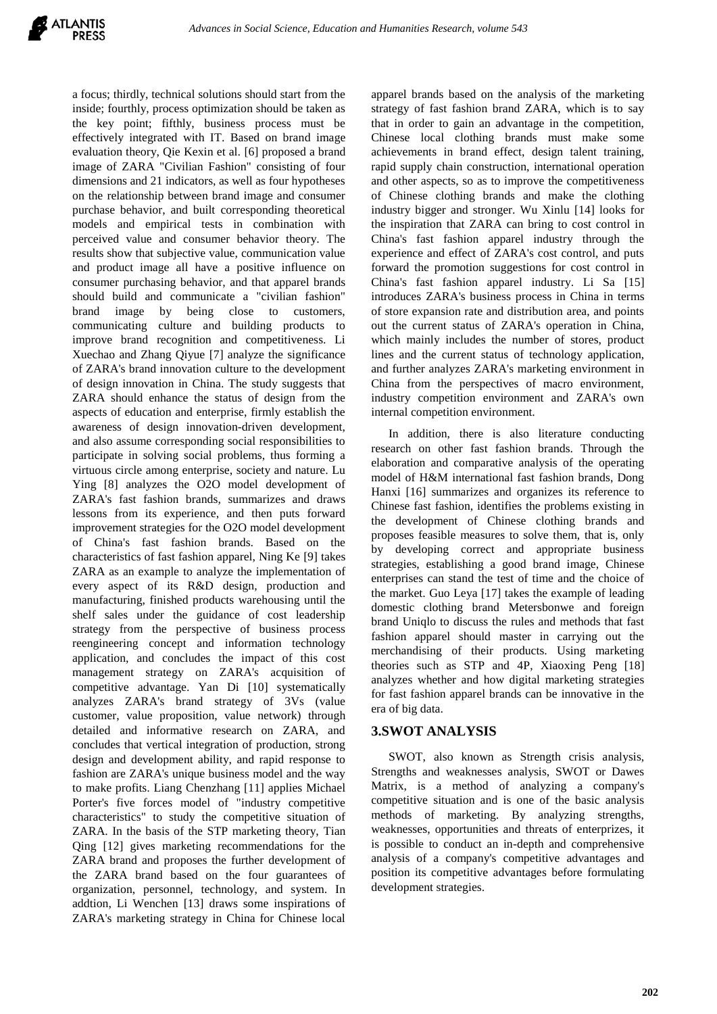

a focus; thirdly, technical solutions should start from the inside; fourthly, process optimization should be taken as the key point; fifthly, business process must be effectively integrated with IT. Based on brand image evaluation theory, Qie Kexin et al. [6] proposed a brand image of ZARA "Civilian Fashion" consisting of four dimensions and 21 indicators, as well as four hypotheses on the relationship between brand image and consumer purchase behavior, and built corresponding theoretical models and empirical tests in combination with perceived value and consumer behavior theory. The results show that subjective value, communication value and product image all have a positive influence on consumer purchasing behavior, and that apparel brands should build and communicate a "civilian fashion" brand image by being close to customers, communicating culture and building products to improve brand recognition and competitiveness. Li Xuechao and Zhang Qiyue [7] analyze the significance of ZARA's brand innovation culture to the development of design innovation in China. The study suggests that ZARA should enhance the status of design from the aspects of education and enterprise, firmly establish the awareness of design innovation-driven development, and also assume corresponding social responsibilities to participate in solving social problems, thus forming a virtuous circle among enterprise, society and nature. Lu Ying [8] analyzes the O2O model development of ZARA's fast fashion brands, summarizes and draws lessons from its experience, and then puts forward improvement strategies for the O2O model development of China's fast fashion brands. Based on the characteristics of fast fashion apparel, Ning Ke [9] takes ZARA as an example to analyze the implementation of every aspect of its R&D design, production and manufacturing, finished products warehousing until the shelf sales under the guidance of cost leadership strategy from the perspective of business process reengineering concept and information technology application, and concludes the impact of this cost management strategy on ZARA's acquisition of competitive advantage. Yan Di [10] systematically analyzes ZARA's brand strategy of 3Vs (value customer, value proposition, value network) through detailed and informative research on ZARA, and concludes that vertical integration of production, strong design and development ability, and rapid response to fashion are ZARA's unique business model and the way to make profits. Liang Chenzhang [11] applies Michael Porter's five forces model of "industry competitive characteristics" to study the competitive situation of ZARA. In the basis of the STP marketing theory, Tian Qing [12] gives marketing recommendations for the ZARA brand and proposes the further development of the ZARA brand based on the four guarantees of organization, personnel, technology, and system. In addtion, Li Wenchen [13] draws some inspirations of ZARA's marketing strategy in China for Chinese local

apparel brands based on the analysis of the marketing strategy of fast fashion brand ZARA, which is to say that in order to gain an advantage in the competition, Chinese local clothing brands must make some achievements in brand effect, design talent training, rapid supply chain construction, international operation and other aspects, so as to improve the competitiveness of Chinese clothing brands and make the clothing industry bigger and stronger. Wu Xinlu [14] looks for the inspiration that ZARA can bring to cost control in China's fast fashion apparel industry through the experience and effect of ZARA's cost control, and puts forward the promotion suggestions for cost control in China's fast fashion apparel industry. Li Sa [15] introduces ZARA's business process in China in terms of store expansion rate and distribution area, and points out the current status of ZARA's operation in China, which mainly includes the number of stores, product lines and the current status of technology application, and further analyzes ZARA's marketing environment in China from the perspectives of macro environment, industry competition environment and ZARA's own internal competition environment.

In addition, there is also literature conducting research on other fast fashion brands. Through the elaboration and comparative analysis of the operating model of H&M international fast fashion brands, Dong Hanxi [16] summarizes and organizes its reference to Chinese fast fashion, identifies the problems existing in the development of Chinese clothing brands and proposes feasible measures to solve them, that is, only by developing correct and appropriate business strategies, establishing a good brand image, Chinese enterprises can stand the test of time and the choice of the market. Guo Leya [17] takes the example of leading domestic clothing brand Metersbonwe and foreign brand Uniqlo to discuss the rules and methods that fast fashion apparel should master in carrying out the merchandising of their products. Using marketing theories such as STP and 4P, Xiaoxing Peng [18] analyzes whether and how digital marketing strategies for fast fashion apparel brands can be innovative in the era of big data.

# **3.SWOT ANALYSIS**

SWOT, also known as Strength crisis analysis, Strengths and weaknesses analysis, SWOT or Dawes Matrix, is a method of analyzing a company's competitive situation and is one of the basic analysis methods of marketing. By analyzing strengths, weaknesses, opportunities and threats of enterprizes, it is possible to conduct an in-depth and comprehensive analysis of a company's competitive advantages and position its competitive advantages before formulating development strategies.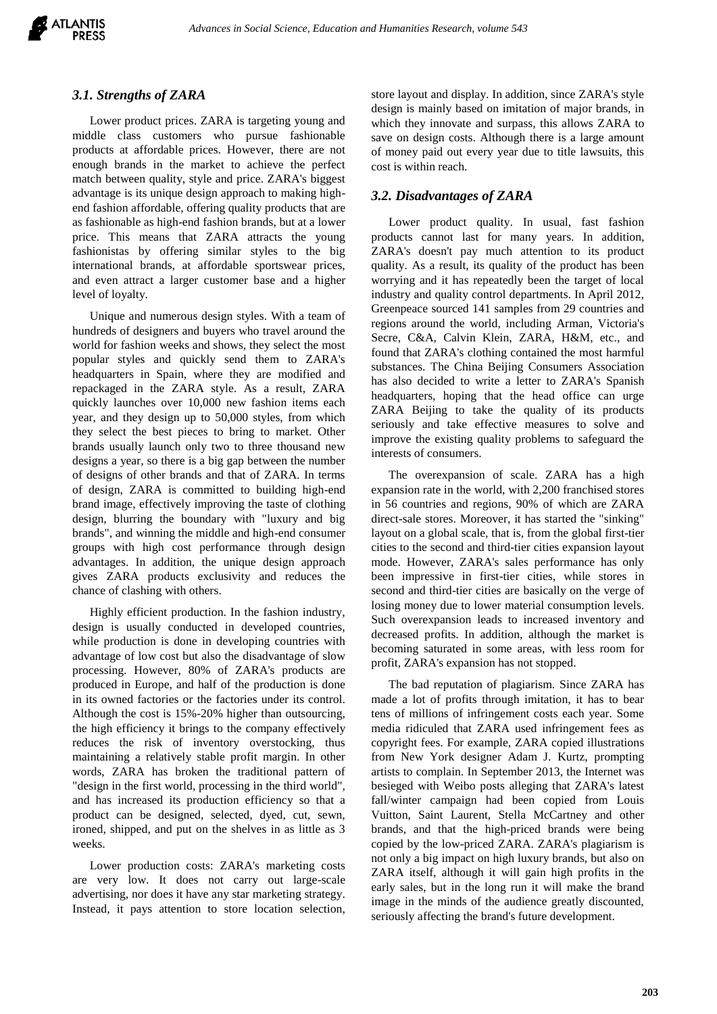

### *3.1. Strengths of ZARA*

Lower product prices. ZARA is targeting young and middle class customers who pursue fashionable products at affordable prices. However, there are not enough brands in the market to achieve the perfect match between quality, style and price. ZARA's biggest advantage is its unique design approach to making highend fashion affordable, offering quality products that are as fashionable as high-end fashion brands, but at a lower price. This means that ZARA attracts the young fashionistas by offering similar styles to the big international brands, at affordable sportswear prices, and even attract a larger customer base and a higher level of loyalty.

Unique and numerous design styles. With a team of hundreds of designers and buyers who travel around the world for fashion weeks and shows, they select the most popular styles and quickly send them to ZARA's headquarters in Spain, where they are modified and repackaged in the ZARA style. As a result, ZARA quickly launches over 10,000 new fashion items each year, and they design up to 50,000 styles, from which they select the best pieces to bring to market. Other brands usually launch only two to three thousand new designs a year, so there is a big gap between the number of designs of other brands and that of ZARA. In terms of design, ZARA is committed to building high-end brand image, effectively improving the taste of clothing design, blurring the boundary with "luxury and big brands", and winning the middle and high-end consumer groups with high cost performance through design advantages. In addition, the unique design approach gives ZARA products exclusivity and reduces the chance of clashing with others.

Highly efficient production. In the fashion industry, design is usually conducted in developed countries, while production is done in developing countries with advantage of low cost but also the disadvantage of slow processing. However, 80% of ZARA's products are produced in Europe, and half of the production is done in its owned factories or the factories under its control. Although the cost is 15%-20% higher than outsourcing, the high efficiency it brings to the company effectively reduces the risk of inventory overstocking, thus maintaining a relatively stable profit margin. In other words, ZARA has broken the traditional pattern of "design in the first world, processing in the third world", and has increased its production efficiency so that a product can be designed, selected, dyed, cut, sewn, ironed, shipped, and put on the shelves in as little as 3 weeks.

Lower production costs: ZARA's marketing costs are very low. It does not carry out large-scale advertising, nor does it have any star marketing strategy. Instead, it pays attention to store location selection,

store layout and display. In addition, since ZARA's style design is mainly based on imitation of major brands, in which they innovate and surpass, this allows ZARA to save on design costs. Although there is a large amount of money paid out every year due to title lawsuits, this cost is within reach.

# *3.2. Disadvantages of ZARA*

Lower product quality. In usual, fast fashion products cannot last for many years. In addition, ZARA's doesn't pay much attention to its product quality. As a result, its quality of the product has been worrying and it has repeatedly been the target of local industry and quality control departments. In April 2012, Greenpeace sourced 141 samples from 29 countries and regions around the world, including Arman, Victoria's Secre, C&A, Calvin Klein, ZARA, H&M, etc., and found that ZARA's clothing contained the most harmful substances. The China Beijing Consumers Association has also decided to write a letter to ZARA's Spanish headquarters, hoping that the head office can urge ZARA Beijing to take the quality of its products seriously and take effective measures to solve and improve the existing quality problems to safeguard the interests of consumers.

The overexpansion of scale. ZARA has a high expansion rate in the world, with 2,200 franchised stores in 56 countries and regions, 90% of which are ZARA direct-sale stores. Moreover, it has started the "sinking" layout on a global scale, that is, from the global first-tier cities to the second and third-tier cities expansion layout mode. However, ZARA's sales performance has only been impressive in first-tier cities, while stores in second and third-tier cities are basically on the verge of losing money due to lower material consumption levels. Such overexpansion leads to increased inventory and decreased profits. In addition, although the market is becoming saturated in some areas, with less room for profit, ZARA's expansion has not stopped.

The bad reputation of plagiarism. Since ZARA has made a lot of profits through imitation, it has to bear tens of millions of infringement costs each year. Some media ridiculed that ZARA used infringement fees as copyright fees. For example, ZARA copied illustrations from New York designer Adam J. Kurtz, prompting artists to complain. In September 2013, the Internet was besieged with Weibo posts alleging that ZARA's latest fall/winter campaign had been copied from Louis Vuitton, Saint Laurent, Stella McCartney and other brands, and that the high-priced brands were being copied by the low-priced ZARA. ZARA's plagiarism is not only a big impact on high luxury brands, but also on ZARA itself, although it will gain high profits in the early sales, but in the long run it will make the brand image in the minds of the audience greatly discounted, seriously affecting the brand's future development.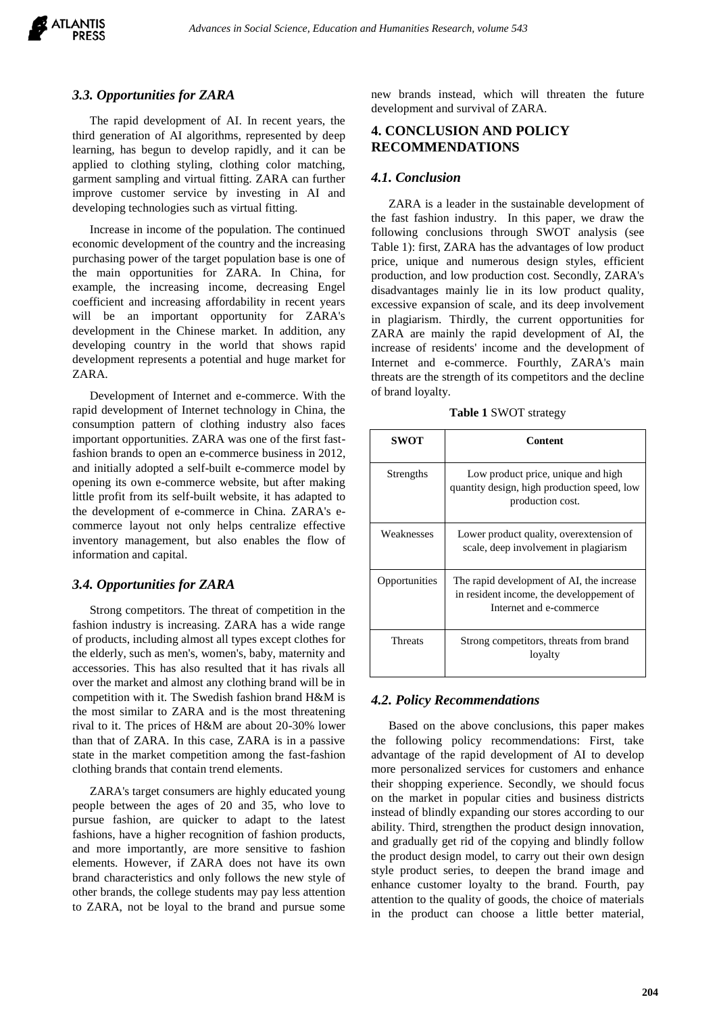

# *3.3. Opportunities for ZARA*

The rapid development of AI. In recent years, the third generation of AI algorithms, represented by deep learning, has begun to develop rapidly, and it can be applied to clothing styling, clothing color matching, garment sampling and virtual fitting. ZARA can further improve customer service by investing in AI and developing technologies such as virtual fitting.

Increase in income of the population. The continued economic development of the country and the increasing purchasing power of the target population base is one of the main opportunities for ZARA. In China, for example, the increasing income, decreasing Engel coefficient and increasing affordability in recent years will be an important opportunity for ZARA's development in the Chinese market. In addition, any developing country in the world that shows rapid development represents a potential and huge market for ZARA.

Development of Internet and e-commerce. With the rapid development of Internet technology in China, the consumption pattern of clothing industry also faces important opportunities. ZARA was one of the first fastfashion brands to open an e-commerce business in 2012, and initially adopted a self-built e-commerce model by opening its own e-commerce website, but after making little profit from its self-built website, it has adapted to the development of e-commerce in China. ZARA's ecommerce layout not only helps centralize effective inventory management, but also enables the flow of information and capital.

## *3.4. Opportunities for ZARA*

Strong competitors. The threat of competition in the fashion industry is increasing. ZARA has a wide range of products, including almost all types except clothes for the elderly, such as men's, women's, baby, maternity and accessories. This has also resulted that it has rivals all over the market and almost any clothing brand will be in competition with it. The Swedish fashion brand H&M is the most similar to ZARA and is the most threatening rival to it. The prices of H&M are about 20-30% lower than that of ZARA. In this case, ZARA is in a passive state in the market competition among the fast-fashion clothing brands that contain trend elements.

ZARA's target consumers are highly educated young people between the ages of 20 and 35, who love to pursue fashion, are quicker to adapt to the latest fashions, have a higher recognition of fashion products, and more importantly, are more sensitive to fashion elements. However, if ZARA does not have its own brand characteristics and only follows the new style of other brands, the college students may pay less attention to ZARA, not be loyal to the brand and pursue some new brands instead, which will threaten the future development and survival of ZARA.

# **4. CONCLUSION AND POLICY RECOMMENDATIONS**

#### *4.1. Conclusion*

ZARA is a leader in the sustainable development of the fast fashion industry. In this paper, we draw the following conclusions through SWOT analysis (see Table 1): first, ZARA has the advantages of low product price, unique and numerous design styles, efficient production, and low production cost. Secondly, ZARA's disadvantages mainly lie in its low product quality, excessive expansion of scale, and its deep involvement in plagiarism. Thirdly, the current opportunities for ZARA are mainly the rapid development of AI, the increase of residents' income and the development of Internet and e-commerce. Fourthly, ZARA's main threats are the strength of its competitors and the decline of brand loyalty.

**Table 1** SWOT strategy

| <b>SWOT</b>    | Content                                                                                                          |
|----------------|------------------------------------------------------------------------------------------------------------------|
| Strengths      | Low product price, unique and high<br>quantity design, high production speed, low<br>production cost.            |
| Weaknesses     | Lower product quality, overextension of<br>scale, deep involvement in plagiarism                                 |
| Opportunities  | The rapid development of AI, the increase<br>in resident income, the developpement of<br>Internet and e-commerce |
| <b>Threats</b> | Strong competitors, threats from brand<br>lovalty                                                                |

#### *4.2. Policy Recommendations*

Based on the above conclusions, this paper makes the following policy recommendations: First, take advantage of the rapid development of AI to develop more personalized services for customers and enhance their shopping experience. Secondly, we should focus on the market in popular cities and business districts instead of blindly expanding our stores according to our ability. Third, strengthen the product design innovation, and gradually get rid of the copying and blindly follow the product design model, to carry out their own design style product series, to deepen the brand image and enhance customer loyalty to the brand. Fourth, pay attention to the quality of goods, the choice of materials in the product can choose a little better material,